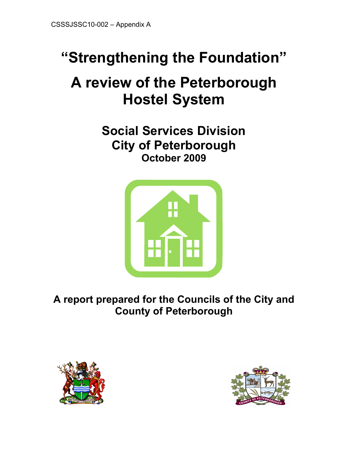# "Strengthening the Foundation"

# A review of the Peterborough Hostel System

Social Services Division City of Peterborough October 2009



A report prepared for the Councils of the City and County of Peterborough



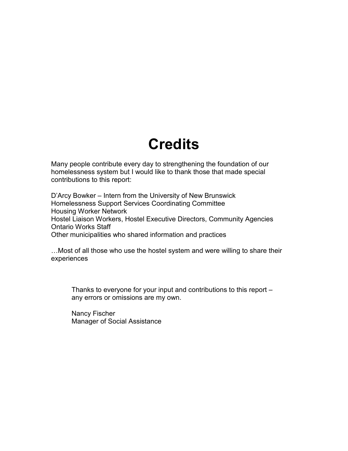# **Credits**

Many people contribute every day to strengthening the foundation of our homelessness system but I would like to thank those that made special contributions to this report:

D'Arcy Bowker – Intern from the University of New Brunswick Homelessness Support Services Coordinating Committee Housing Worker Network Hostel Liaison Workers, Hostel Executive Directors, Community Agencies Ontario Works Staff Other municipalities who shared information and practices

…Most of all those who use the hostel system and were willing to share their experiences

Thanks to everyone for your input and contributions to this report – any errors or omissions are my own.

Nancy Fischer Manager of Social Assistance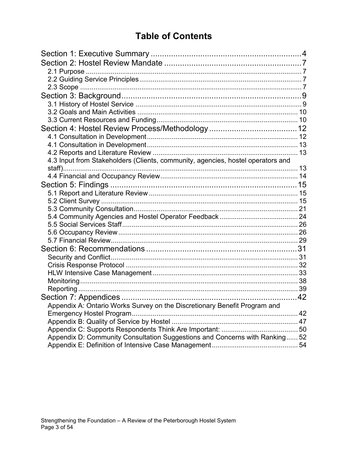# **Table of Contents**

| 4.3 Input from Stakeholders (Clients, community, agencies, hostel operators and |  |
|---------------------------------------------------------------------------------|--|
|                                                                                 |  |
|                                                                                 |  |
|                                                                                 |  |
|                                                                                 |  |
|                                                                                 |  |
|                                                                                 |  |
|                                                                                 |  |
|                                                                                 |  |
|                                                                                 |  |
|                                                                                 |  |
|                                                                                 |  |
|                                                                                 |  |
|                                                                                 |  |
|                                                                                 |  |
|                                                                                 |  |
|                                                                                 |  |
|                                                                                 |  |
| Appendix A: Ontario Works Survey on the Discretionary Benefit Program and       |  |
| Emergency Hostel Program.                                                       |  |
|                                                                                 |  |
|                                                                                 |  |
| Appendix D: Community Consultation Suggestions and Concerns with Ranking 52     |  |
|                                                                                 |  |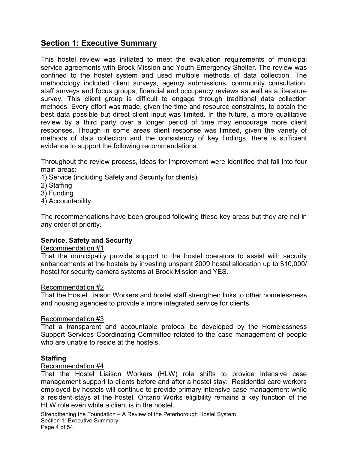# <span id="page-3-0"></span>Section 1: Executive Summary

This hostel review was initiated to meet the evaluation requirements of municipal service agreements with Brock Mission and Youth Emergency Shelter. The review was confined to the hostel system and used multiple methods of data collection. The methodology included client surveys, agency submissions, community consultation, staff surveys and focus groups, financial and occupancy reviews as well as a literature survey. This client group is difficult to engage through traditional data collection methods. Every effort was made, given the time and resource constraints, to obtain the best data possible but direct client input was limited. In the future, a more qualitative review by a third party over a longer period of time may encourage more client responses. Though in some areas client response was limited, given the variety of methods of data collection and the consistency of key findings, there is sufficient evidence to support the following recommendations.

Throughout the review process, ideas for improvement were identified that fall into four main areas:

- 1) Service (including Safety and Security for clients)
- 2) Staffing
- 3) Funding
- 4) Accountability

The recommendations have been grouped following these key areas but they are not in any order of priority.

# Service, Safety and Security

# Recommendation #1

That the municipality provide support to the hostel operators to assist with security enhancements at the hostels by investing unspent 2009 hostel allocation up to \$10,000/ hostel for security camera systems at Brock Mission and YES.

#### Recommendation #2

That the Hostel Liaison Workers and hostel staff strengthen links to other homelessness and housing agencies to provide a more integrated service for clients.

# Recommendation #3

That a transparent and accountable protocol be developed by the Homelessness Support Services Coordinating Committee related to the case management of people who are unable to reside at the hostels.

# **Staffing**

#### Recommendation #4

That the Hostel Liaison Workers (HLW) role shifts to provide intensive case management support to clients before and after a hostel stay. Residential care workers employed by hostels will continue to provide primary intensive case management while a resident stays at the hostel. Ontario Works eligibility remains a key function of the HLW role even while a client is in the hostel.

Strengthening the Foundation – A Review of the Peterborough Hostel System Section 1: Executive Summary Page 4 of 54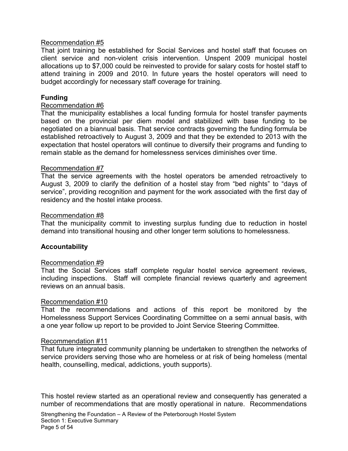#### Recommendation #5

That joint training be established for Social Services and hostel staff that focuses on client service and non-violent crisis intervention. Unspent 2009 municipal hostel allocations up to \$7,000 could be reinvested to provide for salary costs for hostel staff to attend training in 2009 and 2010. In future years the hostel operators will need to budget accordingly for necessary staff coverage for training.

#### Funding

#### Recommendation #6

That the municipality establishes a local funding formula for hostel transfer payments based on the provincial per diem model and stabilized with base funding to be negotiated on a biannual basis. That service contracts governing the funding formula be established retroactively to August 3, 2009 and that they be extended to 2013 with the expectation that hostel operators will continue to diversify their programs and funding to remain stable as the demand for homelessness services diminishes over time.

#### Recommendation #7

That the service agreements with the hostel operators be amended retroactively to August 3, 2009 to clarify the definition of a hostel stay from "bed nights" to "days of service", providing recognition and payment for the work associated with the first day of residency and the hostel intake process.

#### Recommendation #8

That the municipality commit to investing surplus funding due to reduction in hostel demand into transitional housing and other longer term solutions to homelessness.

#### Accountability

#### Recommendation #9

That the Social Services staff complete regular hostel service agreement reviews, including inspections. Staff will complete financial reviews quarterly and agreement reviews on an annual basis.

#### Recommendation #10

That the recommendations and actions of this report be monitored by the Homelessness Support Services Coordinating Committee on a semi annual basis, with a one year follow up report to be provided to Joint Service Steering Committee.

#### Recommendation #11

That future integrated community planning be undertaken to strengthen the networks of service providers serving those who are homeless or at risk of being homeless (mental health, counselling, medical, addictions, youth supports).

This hostel review started as an operational review and consequently has generated a number of recommendations that are mostly operational in nature. Recommendations

Strengthening the Foundation – A Review of the Peterborough Hostel System Section 1: Executive Summary Page 5 of 54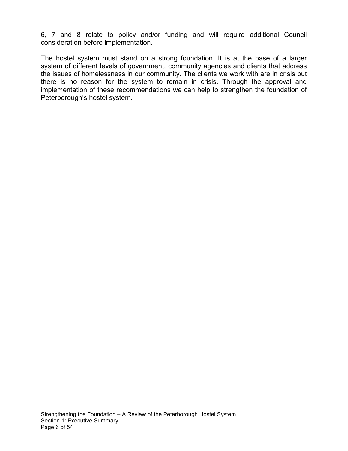6, 7 and 8 relate to policy and/or funding and will require additional Council consideration before implementation.

The hostel system must stand on a strong foundation. It is at the base of a larger system of different levels of government, community agencies and clients that address the issues of homelessness in our community. The clients we work with are in crisis but there is no reason for the system to remain in crisis. Through the approval and implementation of these recommendations we can help to strengthen the foundation of Peterborough's hostel system.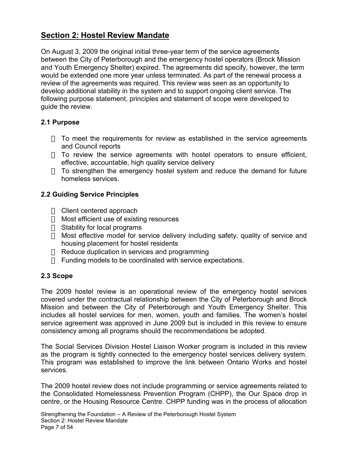# <span id="page-6-0"></span>Section 2: Hostel Review Mandate

On August 3, 2009 the original initial three-year term of the service agreements between the City of Peterborough and the emergency hostel operators (Brock Mission and Youth Emergency Shelter) expired. The agreements did specify, however, the term would be extended one more year unless terminated. As part of the renewal process a review of the agreements was required. This review was seen as an opportunity to develop additional stability in the system and to support ongoing client service. The following purpose statement, principles and statement of scope were developed to guide the review.

# 2.1 Purpose

 To meet the requirements for review as established in the service agreements and Council reports

 To review the service agreements with hostel operators to ensure efficient, effective, accountable, high quality service delivery

 To strengthen the emergency hostel system and reduce the demand for future homeless services.

# 2.2 Guiding Service Principles

 Client centered approach Most efficient use of existing resources Stability for local programs Most effective model for service delivery including safety, quality of service and housing placement for hostel residents Reduce duplication in services and programming Funding models to be coordinated with service expectations.

# 2.3 Scope

The 2009 hostel review is an operational review of the emergency hostel services covered under the contractual relationship between the City of Peterborough and Brock Mission and between the City of Peterborough and Youth Emergency Shelter. This includes all hostel services for men, women, youth and families. The women's hostel service agreement was approved in June 2009 but is included in this review to ensure consistency among all programs should the recommendations be adopted.

The Social Services Division Hostel Liaison Worker program is included in this review as the program is tightly connected to the emergency hostel services delivery system. This program was established to improve the link between Ontario Works and hostel services.

The 2009 hostel review does not include programming or service agreements related to the Consolidated Homelessness Prevention Program (CHPP), the Our Space drop in centre, or the Housing Resource Centre. CHPP funding was in the process of allocation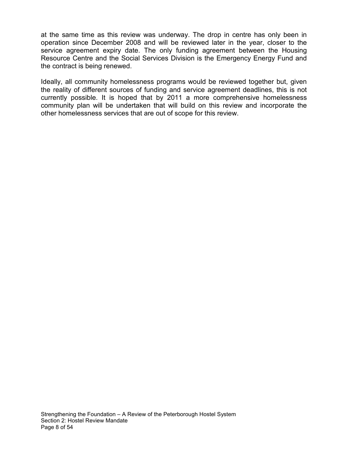at the same time as this review was underway. The drop in centre has only been in operation since December 2008 and will be reviewed later in the year, closer to the service agreement expiry date. The only funding agreement between the Housing Resource Centre and the Social Services Division is the Emergency Energy Fund and the contract is being renewed.

Ideally, all community homelessness programs would be reviewed together but, given the reality of different sources of funding and service agreement deadlines, this is not currently possible. It is hoped that by 2011 a more comprehensive homelessness community plan will be undertaken that will build on this review and incorporate the other homelessness services that are out of scope for this review.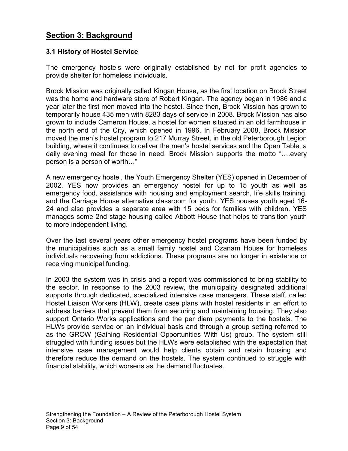# <span id="page-8-0"></span>Section 3: Background

# 3.1 History of Hostel Service

The emergency hostels were originally established by not for profit agencies to provide shelter for homeless individuals.

Brock Mission was originally called Kingan House, as the first location on Brock Street was the home and hardware store of Robert Kingan. The agency began in 1986 and a year later the first men moved into the hostel. Since then, Brock Mission has grown to temporarily house 435 men with 8283 days of service in 2008. Brock Mission has also grown to include Cameron House, a hostel for women situated in an old farmhouse in the north end of the City, which opened in 1996. In February 2008, Brock Mission moved the men's hostel program to 217 Murray Street, in the old Peterborough Legion building, where it continues to deliver the men's hostel services and the Open Table, a daily evening meal for those in need. Brock Mission supports the motto "….every person is a person of worth…"

A new emergency hostel, the Youth Emergency Shelter (YES) opened in December of 2002. YES now provides an emergency hostel for up to 15 youth as well as emergency food, assistance with housing and employment search, life skills training, and the Carriage House alternative classroom for youth. YES houses youth aged 16- 24 and also provides a separate area with 15 beds for families with children. YES manages some 2nd stage housing called Abbott House that helps to transition youth to more independent living.

Over the last several years other emergency hostel programs have been funded by the municipalities such as a small family hostel and Ozanam House for homeless individuals recovering from addictions. These programs are no longer in existence or receiving municipal funding.

In 2003 the system was in crisis and a report was commissioned to bring stability to the sector. In response to the 2003 review, the municipality designated additional supports through dedicated, specialized intensive case managers. These staff, called Hostel Liaison Workers (HLW), create case plans with hostel residents in an effort to address barriers that prevent them from securing and maintaining housing. They also support Ontario Works applications and the per diem payments to the hostels. The HLWs provide service on an individual basis and through a group setting referred to as the GROW (Gaining Residential Opportunities With Us) group. The system still struggled with funding issues but the HLWs were established with the expectation that intensive case management would help clients obtain and retain housing and therefore reduce the demand on the hostels. The system continued to struggle with financial stability, which worsens as the demand fluctuates.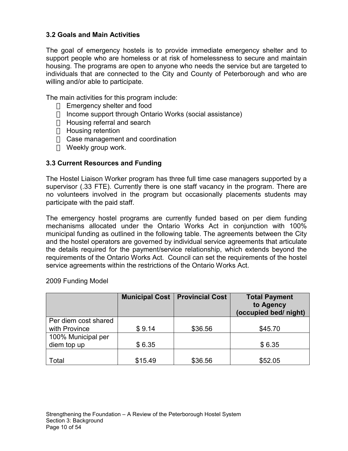# <span id="page-9-0"></span>3.2 Goals and Main Activities

The goal of emergency hostels is to provide immediate emergency shelter and to support people who are homeless or at risk of homelessness to secure and maintain housing. The programs are open to anyone who needs the service but are targeted to individuals that are connected to the City and County of Peterborough and who are willing and/or able to participate.

The main activities for this program include:

 Emergency shelter and food Income support through Ontario Works (social assistance) Housing referral and search Housing retention Case management and coordination Weekly group work.

# 3.3 Current Resources and Funding

The Hostel Liaison Worker program has three full time case managers supported by a supervisor (.33 FTE). Currently there is one staff vacancy in the program. There are no volunteers involved in the program but occasionally placements students may participate with the paid staff.

The emergency hostel programs are currently funded based on per diem funding mechanisms allocated under the Ontario Works Act in conjunction with 100% municipal funding as outlined in the following table. The agreements between the City and the hostel operators are governed by individual service agreements that articulate the details required for the payment/service relationship, which extends beyond the requirements of the Ontario Works Act. Council can set the requirements of the hostel service agreements within the restrictions of the Ontario Works Act.

|                      |         | <b>Municipal Cost   Provincial Cost</b> | <b>Total Payment</b><br>to Agency<br>(occupied bed/ night) |
|----------------------|---------|-----------------------------------------|------------------------------------------------------------|
| Per diem cost shared |         |                                         |                                                            |
| with Province        | \$9.14  | \$36.56                                 | \$45.70                                                    |
| 100% Municipal per   |         |                                         |                                                            |
| diem top up          | \$6.35  |                                         | \$6.35                                                     |
|                      |         |                                         |                                                            |
| Total                | \$15.49 | \$36.56                                 | \$52.05                                                    |

2009 Funding Model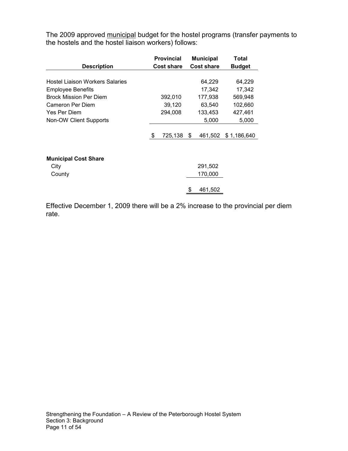The 2009 approved municipal budget for the hostel programs (transfer payments to the hostels and the hostel liaison workers) follows:

|                                        | <b>Provincial</b><br><b>Municipal</b> |         |                   | Total   |               |  |
|----------------------------------------|---------------------------------------|---------|-------------------|---------|---------------|--|
| <b>Description</b>                     | <b>Cost share</b>                     |         | <b>Cost share</b> |         | <b>Budget</b> |  |
|                                        |                                       |         |                   |         |               |  |
| <b>Hostel Liaison Workers Salaries</b> |                                       |         |                   | 64,229  | 64,229        |  |
| <b>Employee Benefits</b>               |                                       |         |                   | 17,342  | 17,342        |  |
| <b>Brock Mission Per Diem</b>          |                                       | 392,010 |                   | 177,938 | 569,948       |  |
| Cameron Per Diem                       |                                       | 39,120  |                   | 63,540  | 102,660       |  |
| Yes Per Diem                           |                                       | 294,008 |                   | 133,453 | 427,461       |  |
| Non-OW Client Supports                 |                                       |         |                   | 5,000   | 5,000         |  |
|                                        |                                       |         |                   |         |               |  |
|                                        | \$                                    | 725,138 | \$                | 461,502 | \$1,186,640   |  |
|                                        |                                       |         |                   |         |               |  |
|                                        |                                       |         |                   |         |               |  |
| <b>Municipal Cost Share</b>            |                                       |         |                   |         |               |  |
| City                                   |                                       |         |                   | 291,502 |               |  |
| County                                 |                                       |         |                   | 170,000 |               |  |
|                                        |                                       |         |                   |         |               |  |
|                                        |                                       |         |                   | 461,502 |               |  |
|                                        |                                       |         |                   |         |               |  |

Effective December 1, 2009 there will be a 2% increase to the provincial per diem rate.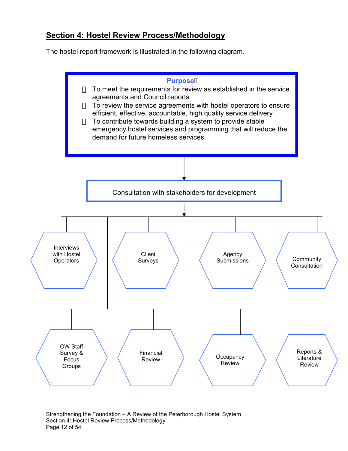# <span id="page-11-0"></span>Section 4: Hostel Review Process/Methodology

The hostel report framework is illustrated in the following diagram.



Strengthening the Foundation – A Review of the Peterborough Hostel System Section 4: Hostel Review Process/Methodology Page 12 of 54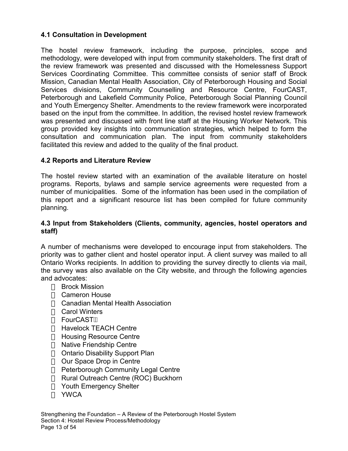# <span id="page-12-0"></span>4.1 Consultation in Development

The hostel review framework, including the purpose, principles, scope and methodology, were developed with input from community stakeholders. The first draft of the review framework was presented and discussed with the Homelessness Support Services Coordinating Committee. This committee consists of senior staff of Brock Mission, Canadian Mental Health Association, City of Peterborough Housing and Social Services divisions, Community Counselling and Resource Centre, FourCAST, Peterborough and Lakefield Community Police, Peterborough Social Planning Council and Youth Emergency Shelter. Amendments to the review framework were incorporated based on the input from the committee. In addition, the revised hostel review framework was presented and discussed with front line staff at the Housing Worker Network. This group provided key insights into communication strategies, which helped to form the consultation and communication plan. The input from community stakeholders facilitated this review and added to the quality of the final product.

# 4.2 Reports and Literature Review

The hostel review started with an examination of the available literature on hostel programs. Reports, bylaws and sample service agreements were requested from a number of municipalities. Some of the information has been used in the compilation of this report and a significant resource list has been compiled for future community planning.

# 4.3 Input from Stakeholders (Clients, community, agencies, hostel operators and staff)

A number of mechanisms were developed to encourage input from stakeholders. The priority was to gather client and hostel operator input. A client survey was mailed to all Ontario Works recipients. In addition to providing the survey directly to clients via mail, the survey was also available on the City website, and through the following agencies and advocates:

 Brock Mission Cameron House Canadian Mental Health Association Carol Winters **FourCAST**  Havelock TEACH Centre Housing Resource Centre Native Friendship Centre Ontario Disability Support Plan Our Space Drop in Centre Peterborough Community Legal Centre Rural Outreach Centre (ROC) Buckhorn Youth Emergency Shelter YWCA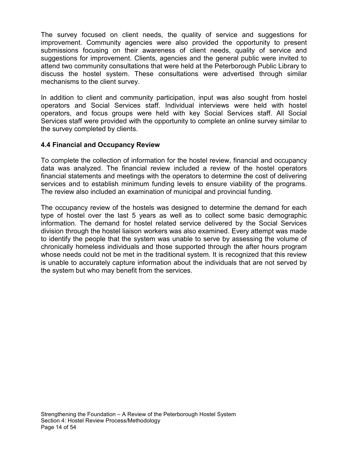<span id="page-13-0"></span>The survey focused on client needs, the quality of service and suggestions for improvement. Community agencies were also provided the opportunity to present submissions focusing on their awareness of client needs, quality of service and suggestions for improvement. Clients, agencies and the general public were invited to attend two community consultations that were held at the Peterborough Public Library to discuss the hostel system. These consultations were advertised through similar mechanisms to the client survey.

In addition to client and community participation, input was also sought from hostel operators and Social Services staff. Individual interviews were held with hostel operators, and focus groups were held with key Social Services staff. All Social Services staff were provided with the opportunity to complete an online survey similar to the survey completed by clients.

# 4.4 Financial and Occupancy Review

To complete the collection of information for the hostel review, financial and occupancy data was analyzed. The financial review included a review of the hostel operators financial statements and meetings with the operators to determine the cost of delivering services and to establish minimum funding levels to ensure viability of the programs. The review also included an examination of municipal and provincial funding.

The occupancy review of the hostels was designed to determine the demand for each type of hostel over the last 5 years as well as to collect some basic demographic information. The demand for hostel related service delivered by the Social Services division through the hostel liaison workers was also examined. Every attempt was made to identify the people that the system was unable to serve by assessing the volume of chronically homeless individuals and those supported through the after hours program whose needs could not be met in the traditional system. It is recognized that this review is unable to accurately capture information about the individuals that are not served by the system but who may benefit from the services.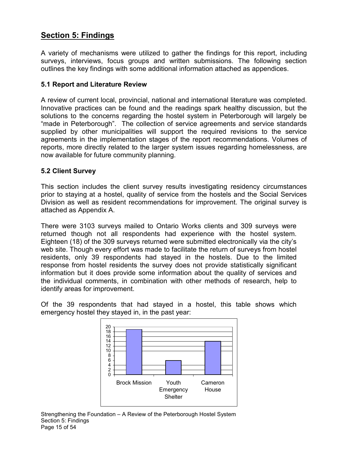# <span id="page-14-0"></span>Section 5: Findings

A variety of mechanisms were utilized to gather the findings for this report, including surveys, interviews, focus groups and written submissions. The following section outlines the key findings with some additional information attached as appendices.

# 5.1 Report and Literature Review

A review of current local, provincial, national and international literature was completed. Innovative practices can be found and the readings spark healthy discussion, but the solutions to the concerns regarding the hostel system in Peterborough will largely be "made in Peterborough". The collection of service agreements and service standards supplied by other municipalities will support the required revisions to the service agreements in the implementation stages of the report recommendations. Volumes of reports, more directly related to the larger system issues regarding homelessness, are now available for future community planning.

# 5.2 Client Survey

This section includes the client survey results investigating residency circumstances prior to staying at a hostel, quality of service from the hostels and the Social Services Division as well as resident recommendations for improvement. The original survey is attached as Appendix A.

There were 3103 surveys mailed to Ontario Works clients and 309 surveys were returned though not all respondents had experience with the hostel system. Eighteen (18) of the 309 surveys returned were submitted electronically via the city's web site. Though every effort was made to facilitate the return of surveys from hostel residents, only 39 respondents had stayed in the hostels. Due to the limited response from hostel residents the survey does not provide statistically significant information but it does provide some information about the quality of services and the individual comments, in combination with other methods of research, help to identify areas for improvement.

Of the 39 respondents that had stayed in a hostel, this table shows which emergency hostel they stayed in, in the past year:

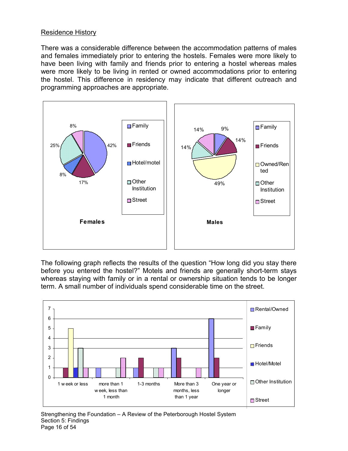# Residence History

There was a considerable difference between the accommodation patterns of males and females immediately prior to entering the hostels. Females were more likely to have been living with family and friends prior to entering a hostel whereas males were more likely to be living in rented or owned accommodations prior to entering the hostel. This difference in residency may indicate that different outreach and programming approaches are appropriate.



The following graph reflects the results of the question "How long did you stay there before you entered the hostel?" Motels and friends are generally short-term stays whereas staying with family or in a rental or ownership situation tends to be longer term. A small number of individuals spend considerable time on the street.

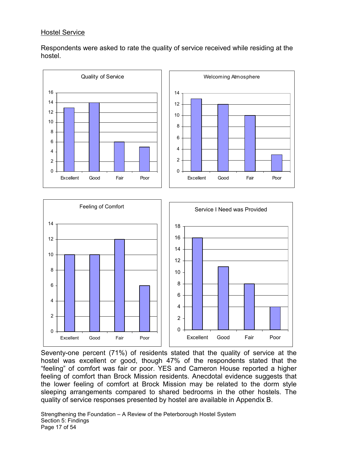# Hostel Service

Respondents were asked to rate the quality of service received while residing at the hostel.



Seventy-one percent (71%) of residents stated that the quality of service at the hostel was excellent or good, though 47% of the respondents stated that the "feeling" of comfort was fair or poor. YES and Cameron House reported a higher feeling of comfort than Brock Mission residents. Anecdotal evidence suggests that the lower feeling of comfort at Brock Mission may be related to the dorm style sleeping arrangements compared to shared bedrooms in the other hostels. The quality of service responses presented by hostel are available in Appendix B.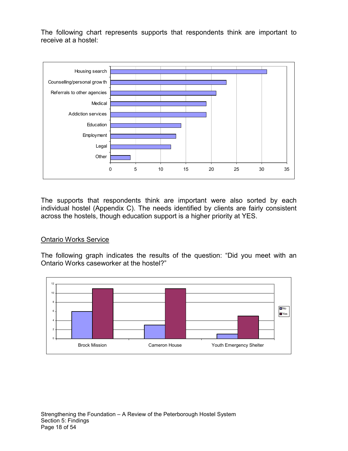The following chart represents supports that respondents think are important to receive at a hostel:



The supports that respondents think are important were also sorted by each individual hostel (Appendix C). The needs identified by clients are fairly consistent across the hostels, though education support is a higher priority at YES.

# Ontario Works Service

The following graph indicates the results of the question: "Did you meet with an Ontario Works caseworker at the hostel?"

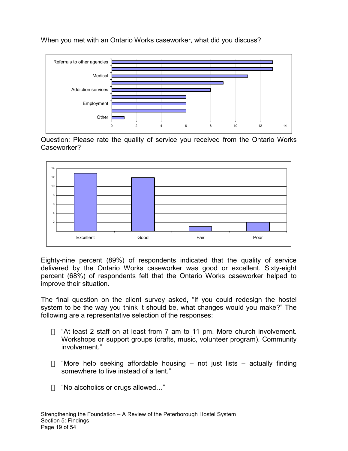When you met with an Ontario Works caseworker, what did you discuss?



Question: Please rate the quality of service you received from the Ontario Works Caseworker?



Eighty-nine percent (89%) of respondents indicated that the quality of service delivered by the Ontario Works caseworker was good or excellent. Sixty-eight percent (68%) of respondents felt that the Ontario Works caseworker helped to improve their situation.

The final question on the client survey asked, "If you could redesign the hostel system to be the way you think it should be, what changes would you make?" The following are a representative selection of the responses:

 "At least 2 staff on at least from 7 am to 11 pm. More church involvement. Workshops or support groups (crafts, music, volunteer program). Community involvement."

 "More help seeking affordable housing – not just lists – actually finding somewhere to live instead of a tent."

"No alcoholics or drugs allowed…"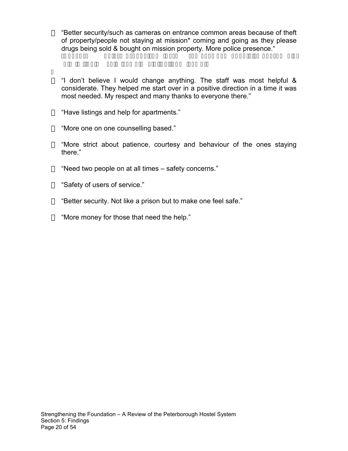"Better security/such as cameras on entrance common areas because of theft of property/people not staying at mission\* coming and going as they please drugs being sold & bought on mission property. More police presence."

 "I don't believe I would change anything. The staff was most helpful & considerate. They helped me start over in a positive direction in a time it was most needed. My respect and many thanks to everyone there."

"Have listings and help for apartments."

"More one on one counselling based."

 "More strict about patience, courtesy and behaviour of the ones staying there."

"Need two people on at all times – safety concerns."

"Safety of users of service."

"Better security. Not like a prison but to make one feel safe."

"More money for those that need the help."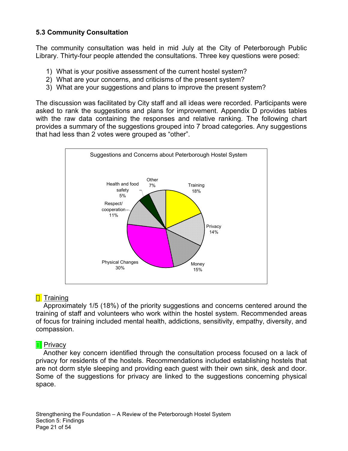# <span id="page-20-0"></span>5.3 Community Consultation

The community consultation was held in mid July at the City of Peterborough Public Library. Thirty-four people attended the consultations. Three key questions were posed:

- 1) What is your positive assessment of the current hostel system?
- 2) What are your concerns, and criticisms of the present system?
- 3) What are your suggestions and plans to improve the present system?

The discussion was facilitated by City staff and all ideas were recorded. Participants were asked to rank the suggestions and plans for improvement. Appendix D provides tables with the raw data containing the responses and relative ranking. The following chart provides a summary of the suggestions grouped into 7 broad categories. Any suggestions that had less than 2 votes were grouped as "other".



# **Training**

 Approximately 1/5 (18%) of the priority suggestions and concerns centered around the training of staff and volunteers who work within the hostel system. Recommended areas of focus for training included mental health, addictions, sensitivity, empathy, diversity, and compassion.

# **Privacy**

 Another key concern identified through the consultation process focused on a lack of privacy for residents of the hostels. Recommendations included establishing hostels that are not dorm style sleeping and providing each guest with their own sink, desk and door. Some of the suggestions for privacy are linked to the suggestions concerning physical space.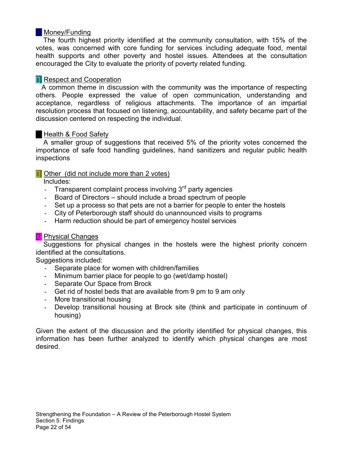# **Money/Funding**

 The fourth highest priority identified at the community consultation, with 15% of the votes, was concerned with core funding for services including adequate food, mental health supports and other poverty and hostel issues. Attendees at the consultation encouraged the City to evaluate the priority of poverty related funding.

# **Respect and Cooperation**

 A common theme in discussion with the community was the importance of respecting others. People expressed the value of open communication, understanding and acceptance, regardless of religious attachments. The importance of an impartial resolution process that focused on listening, accountability, and safety became part of the discussion centered on respecting the individual.

# Health & Food Safety

 A smaller group of suggestions that received 5% of the priority votes concerned the importance of safe food handling guidelines, hand sanitizers and regular public health inspections

# Other (did not include more than 2 votes)

Includes:

- Transparent complaint process involving  $3<sup>rd</sup>$  party agencies
- Board of Directors should include a broad spectrum of people
- Set up a process so that pets are not a barrier for people to enter the hostels
- City of Peterborough staff should do unannounced visits to programs
- Harm reduction should be part of emergency hostel services

# Physical Changes

 Suggestions for physical changes in the hostels were the highest priority concern identified at the consultations.

Suggestions included:

- Separate place for women with children/families
- Minimum barrier place for people to go (wet/damp hostel)
- Separate Our Space from Brock
- Get rid of hostel beds that are available from 9 pm to 9 am only
- More transitional housing
- Develop transitional housing at Brock site (think and participate in continuum of housing)

Given the extent of the discussion and the priority identified for physical changes, this information has been further analyzed to identify which physical changes are most desired.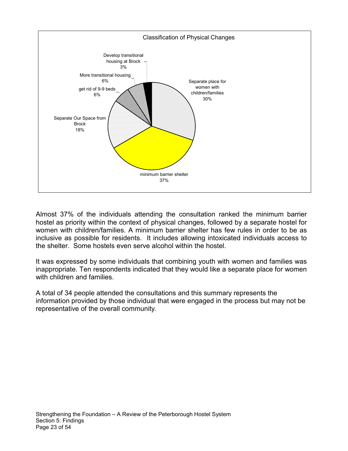

Almost 37% of the individuals attending the consultation ranked the minimum barrier hostel as priority within the context of physical changes, followed by a separate hostel for women with children/families. A minimum barrier shelter has few rules in order to be as inclusive as possible for residents. It includes allowing intoxicated individuals access to the shelter. Some hostels even serve alcohol within the hostel.

It was expressed by some individuals that combining youth with women and families was inappropriate. Ten respondents indicated that they would like a separate place for women with children and families.

A total of 34 people attended the consultations and this summary represents the information provided by those individual that were engaged in the process but may not be representative of the overall community.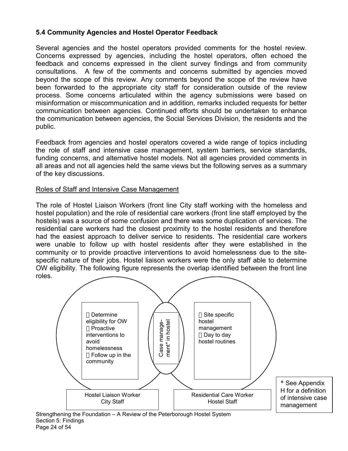# <span id="page-23-0"></span>5.4 Community Agencies and Hostel Operator Feedback

Several agencies and the hostel operators provided comments for the hostel review. Concerns expressed by agencies, including the hostel operators, often echoed the feedback and concerns expressed in the client survey findings and from community consultations. A few of the comments and concerns submitted by agencies moved beyond the scope of this review. Any comments beyond the scope of the review have been forwarded to the appropriate city staff for consideration outside of the review process. Some concerns articulated within the agency submissions were based on misinformation or miscommunication and in addition, remarks included requests for better communication between agencies. Continued efforts should be undertaken to enhance the communication between agencies, the Social Services Division, the residents and the public.

Feedback from agencies and hostel operators covered a wide range of topics including the role of staff and intensive case management, system barriers, service standards, funding concerns, and alternative hostel models. Not all agencies provided comments in all areas and not all agencies held the same views but the following serves as a summary of the key discussions.

# Roles of Staff and Intensive Case Management

The role of Hostel Liaison Workers (front line City staff working with the homeless and hostel population) and the role of residential care workers (front line staff employed by the hostels) was a source of some confusion and there was some duplication of services. The residential care workers had the closest proximity to the hostel residents and therefore had the easiest approach to deliver service to residents. The residential care workers were unable to follow up with hostel residents after they were established in the community or to provide proactive interventions to avoid homelessness due to the sitespecific nature of their jobs. Hostel liaison workers were the only staff able to determine OW eligibility. The following figure represents the overlap identified between the front line roles.



Strengthening the Foundation – A Review of the Peterborough Hostel System Section 5: Findings Page 24 of 54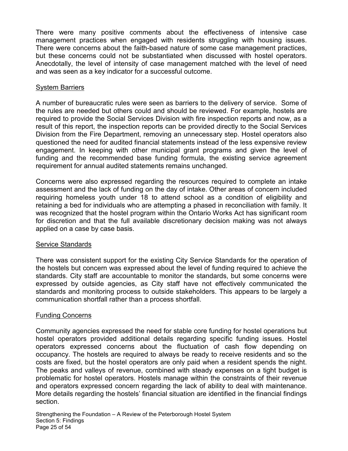There were many positive comments about the effectiveness of intensive case management practices when engaged with residents struggling with housing issues. There were concerns about the faith-based nature of some case management practices, but these concerns could not be substantiated when discussed with hostel operators. Anecdotally, the level of intensity of case management matched with the level of need and was seen as a key indicator for a successful outcome.

# System Barriers

A number of bureaucratic rules were seen as barriers to the delivery of service. Some of the rules are needed but others could and should be reviewed. For example, hostels are required to provide the Social Services Division with fire inspection reports and now, as a result of this report, the inspection reports can be provided directly to the Social Services Division from the Fire Department, removing an unnecessary step. Hostel operators also questioned the need for audited financial statements instead of the less expensive review engagement. In keeping with other municipal grant programs and given the level of funding and the recommended base funding formula, the existing service agreement requirement for annual audited statements remains unchanged.

Concerns were also expressed regarding the resources required to complete an intake assessment and the lack of funding on the day of intake. Other areas of concern included requiring homeless youth under 18 to attend school as a condition of eligibility and retaining a bed for individuals who are attempting a phased in reconciliation with family. It was recognized that the hostel program within the Ontario Works Act has significant room for discretion and that the full available discretionary decision making was not always applied on a case by case basis.

# Service Standards

There was consistent support for the existing City Service Standards for the operation of the hostels but concern was expressed about the level of funding required to achieve the standards. City staff are accountable to monitor the standards, but some concerns were expressed by outside agencies, as City staff have not effectively communicated the standards and monitoring process to outside stakeholders. This appears to be largely a communication shortfall rather than a process shortfall.

# Funding Concerns

Community agencies expressed the need for stable core funding for hostel operations but hostel operators provided additional details regarding specific funding issues. Hostel operators expressed concerns about the fluctuation of cash flow depending on occupancy. The hostels are required to always be ready to receive residents and so the costs are fixed, but the hostel operators are only paid when a resident spends the night. The peaks and valleys of revenue, combined with steady expenses on a tight budget is problematic for hostel operators. Hostels manage within the constraints of their revenue and operators expressed concern regarding the lack of ability to deal with maintenance. More details regarding the hostels' financial situation are identified in the financial findings section.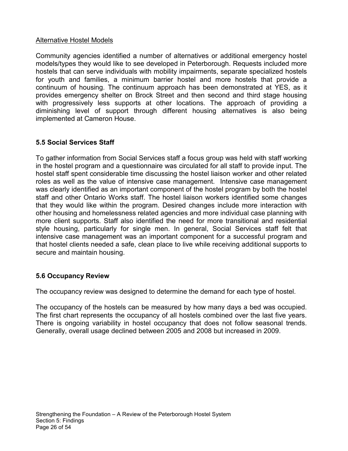# <span id="page-25-0"></span>Alternative Hostel Models

Community agencies identified a number of alternatives or additional emergency hostel models/types they would like to see developed in Peterborough. Requests included more hostels that can serve individuals with mobility impairments, separate specialized hostels for youth and families, a minimum barrier hostel and more hostels that provide a continuum of housing. The continuum approach has been demonstrated at YES, as it provides emergency shelter on Brock Street and then second and third stage housing with progressively less supports at other locations. The approach of providing a diminishing level of support through different housing alternatives is also being implemented at Cameron House.

# 5.5 Social Services Staff

To gather information from Social Services staff a focus group was held with staff working in the hostel program and a questionnaire was circulated for all staff to provide input. The hostel staff spent considerable time discussing the hostel liaison worker and other related roles as well as the value of intensive case management. Intensive case management was clearly identified as an important component of the hostel program by both the hostel staff and other Ontario Works staff. The hostel liaison workers identified some changes that they would like within the program. Desired changes include more interaction with other housing and homelessness related agencies and more individual case planning with more client supports. Staff also identified the need for more transitional and residential style housing, particularly for single men. In general, Social Services staff felt that intensive case management was an important component for a successful program and that hostel clients needed a safe, clean place to live while receiving additional supports to secure and maintain housing.

# 5.6 Occupancy Review

The occupancy review was designed to determine the demand for each type of hostel.

The occupancy of the hostels can be measured by how many days a bed was occupied. The first chart represents the occupancy of all hostels combined over the last five years. There is ongoing variability in hostel occupancy that does not follow seasonal trends. Generally, overall usage declined between 2005 and 2008 but increased in 2009.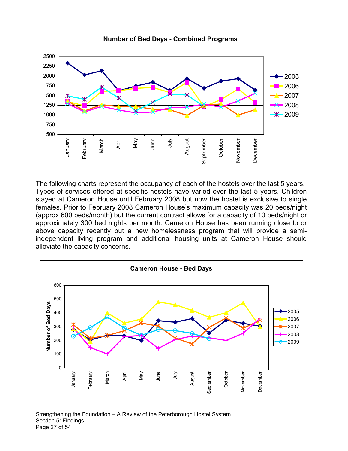

The following charts represent the occupancy of each of the hostels over the last 5 years. Types of services offered at specific hostels have varied over the last 5 years. Children stayed at Cameron House until February 2008 but now the hostel is exclusive to single females. Prior to February 2008 Cameron House's maximum capacity was 20 beds/night (approx 600 beds/month) but the current contract allows for a capacity of 10 beds/night or approximately 300 bed nights per month. Cameron House has been running close to or above capacity recently but a new homelessness program that will provide a semiindependent living program and additional housing units at Cameron House should alleviate the capacity concerns.



#### Strengthening the Foundation – A Review of the Peterborough Hostel System Section 5: Findings Page 27 of 54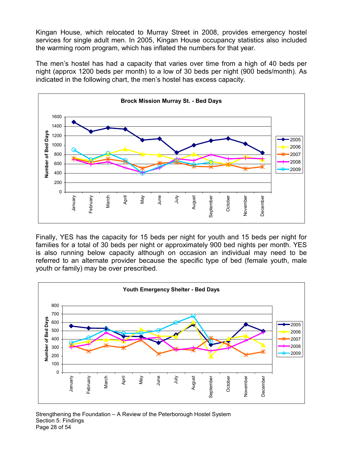Kingan House, which relocated to Murray Street in 2008, provides emergency hostel services for single adult men. In 2005, Kingan House occupancy statistics also included the warming room program, which has inflated the numbers for that year.

The men's hostel has had a capacity that varies over time from a high of 40 beds per night (approx 1200 beds per month) to a low of 30 beds per night (900 beds/month). As indicated in the following chart, the men's hostel has excess capacity.



Finally, YES has the capacity for 15 beds per night for youth and 15 beds per night for families for a total of 30 beds per night or approximately 900 bed nights per month. YES is also running below capacity although on occasion an individual may need to be referred to an alternate provider because the specific type of bed (female youth, male youth or family) may be over prescribed.



#### Strengthening the Foundation – A Review of the Peterborough Hostel System Section 5: Findings Page 28 of 54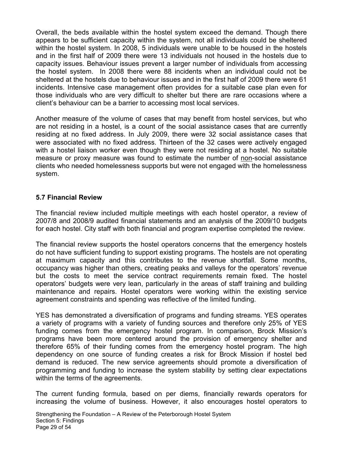<span id="page-28-0"></span>Overall, the beds available within the hostel system exceed the demand. Though there appears to be sufficient capacity within the system, not all individuals could be sheltered within the hostel system. In 2008, 5 individuals were unable to be housed in the hostels and in the first half of 2009 there were 13 individuals not housed in the hostels due to capacity issues. Behaviour issues prevent a larger number of individuals from accessing the hostel system. In 2008 there were 88 incidents when an individual could not be sheltered at the hostels due to behaviour issues and in the first half of 2009 there were 61 incidents. Intensive case management often provides for a suitable case plan even for those individuals who are very difficult to shelter but there are rare occasions where a client's behaviour can be a barrier to accessing most local services.

Another measure of the volume of cases that may benefit from hostel services, but who are not residing in a hostel, is a count of the social assistance cases that are currently residing at no fixed address. In July 2009, there were 32 social assistance cases that were associated with no fixed address. Thirteen of the 32 cases were actively engaged with a hostel liaison worker even though they were not residing at a hostel. No suitable measure or proxy measure was found to estimate the number of non-social assistance clients who needed homelessness supports but were not engaged with the homelessness system.

# 5.7 Financial Review

The financial review included multiple meetings with each hostel operator, a review of 2007/8 and 2008/9 audited financial statements and an analysis of the 2009/10 budgets for each hostel. City staff with both financial and program expertise completed the review.

The financial review supports the hostel operators concerns that the emergency hostels do not have sufficient funding to support existing programs. The hostels are not operating at maximum capacity and this contributes to the revenue shortfall. Some months, occupancy was higher than others, creating peaks and valleys for the operators' revenue but the costs to meet the service contract requirements remain fixed. The hostel operators' budgets were very lean, particularly in the areas of staff training and building maintenance and repairs. Hostel operators were working within the existing service agreement constraints and spending was reflective of the limited funding.

YES has demonstrated a diversification of programs and funding streams. YES operates a variety of programs with a variety of funding sources and therefore only 25% of YES funding comes from the emergency hostel program. In comparison, Brock Mission's programs have been more centered around the provision of emergency shelter and therefore 65% of their funding comes from the emergency hostel program. The high dependency on one source of funding creates a risk for Brock Mission if hostel bed demand is reduced. The new service agreements should promote a diversification of programming and funding to increase the system stability by setting clear expectations within the terms of the agreements.

The current funding formula, based on per diems, financially rewards operators for increasing the volume of business. However, it also encourages hostel operators to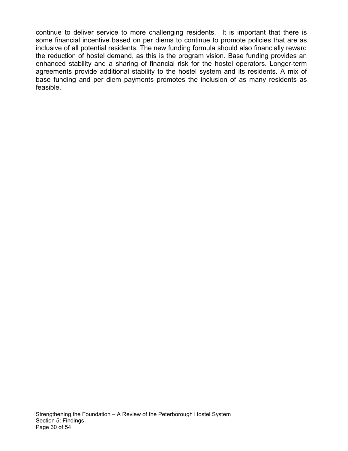continue to deliver service to more challenging residents. It is important that there is some financial incentive based on per diems to continue to promote policies that are as inclusive of all potential residents. The new funding formula should also financially reward the reduction of hostel demand, as this is the program vision. Base funding provides an enhanced stability and a sharing of financial risk for the hostel operators. Longer-term agreements provide additional stability to the hostel system and its residents. A mix of base funding and per diem payments promotes the inclusion of as many residents as feasible.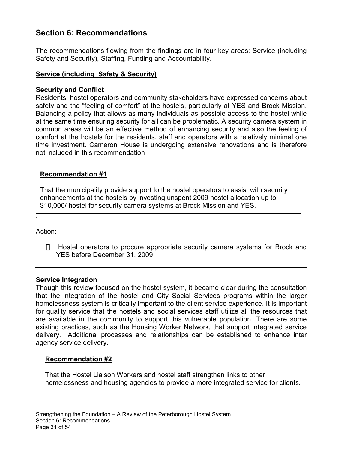# <span id="page-30-0"></span>Section 6: Recommendations

The recommendations flowing from the findings are in four key areas: Service (including Safety and Security), Staffing, Funding and Accountability.

# Service (including Safety & Security)

# Security and Conflict

Residents, hostel operators and community stakeholders have expressed concerns about safety and the "feeling of comfort" at the hostels, particularly at YES and Brock Mission. Balancing a policy that allows as many individuals as possible access to the hostel while at the same time ensuring security for all can be problematic. A security camera system in common areas will be an effective method of enhancing security and also the feeling of comfort at the hostels for the residents, staff and operators with a relatively minimal one time investment. Cameron House is undergoing extensive renovations and is therefore not included in this recommendation

#### Recommendation #1

That the municipality provide support to the hostel operators to assist with security enhancements at the hostels by investing unspent 2009 hostel allocation up to \$10,000/ hostel for security camera systems at Brock Mission and YES.

Action:

.

 Hostel operators to procure appropriate security camera systems for Brock and YES before December 31, 2009

# Service Integration

Though this review focused on the hostel system, it became clear during the consultation that the integration of the hostel and City Social Services programs within the larger homelessness system is critically important to the client service experience. It is important for quality service that the hostels and social services staff utilize all the resources that are available in the community to support this vulnerable population. There are some existing practices, such as the Housing Worker Network, that support integrated service delivery. Additional processes and relationships can be established to enhance inter agency service delivery.

# Recommendation #2

That the Hostel Liaison Workers and hostel staff strengthen links to other homelessness and housing agencies to provide a more integrated service for clients.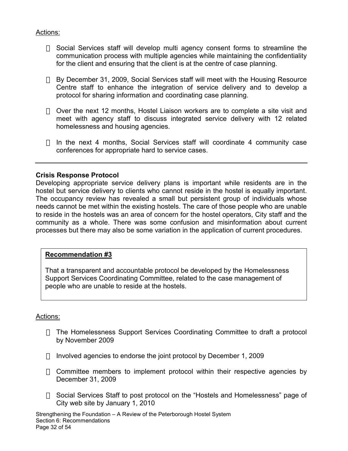# <span id="page-31-0"></span>Actions:

 Social Services staff will develop multi agency consent forms to streamline the communication process with multiple agencies while maintaining the confidentiality for the client and ensuring that the client is at the centre of case planning.

 By December 31, 2009, Social Services staff will meet with the Housing Resource Centre staff to enhance the integration of service delivery and to develop a protocol for sharing information and coordinating case planning.

 Over the next 12 months, Hostel Liaison workers are to complete a site visit and meet with agency staff to discuss integrated service delivery with 12 related homelessness and housing agencies.

 In the next 4 months, Social Services staff will coordinate 4 community case conferences for appropriate hard to service cases.

# Crisis Response Protocol

Developing appropriate service delivery plans is important while residents are in the hostel but service delivery to clients who cannot reside in the hostel is equally important. The occupancy review has revealed a small but persistent group of individuals whose needs cannot be met within the existing hostels. The care of those people who are unable to reside in the hostels was an area of concern for the hostel operators, City staff and the community as a whole. There was some confusion and misinformation about current processes but there may also be some variation in the application of current procedures.

#### Recommendation #3

That a transparent and accountable protocol be developed by the Homelessness Support Services Coordinating Committee, related to the case management of people who are unable to reside at the hostels.

#### Actions:

 The Homelessness Support Services Coordinating Committee to draft a protocol by November 2009

Involved agencies to endorse the joint protocol by December 1, 2009

 Committee members to implement protocol within their respective agencies by December 31, 2009

 Social Services Staff to post protocol on the "Hostels and Homelessness" page of City web site by January 1, 2010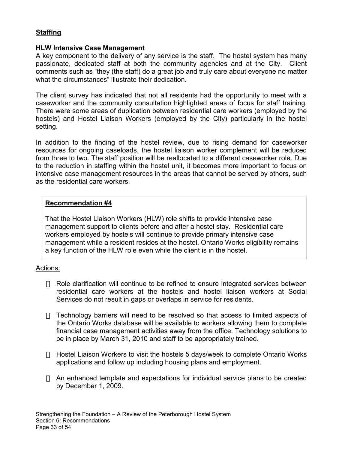# <span id="page-32-0"></span>**Staffing**

#### HLW Intensive Case Management

A key component to the delivery of any service is the staff. The hostel system has many passionate, dedicated staff at both the community agencies and at the City. Client comments such as "they (the staff) do a great job and truly care about everyone no matter what the circumstances" illustrate their dedication.

The client survey has indicated that not all residents had the opportunity to meet with a caseworker and the community consultation highlighted areas of focus for staff training. There were some areas of duplication between residential care workers (employed by the hostels) and Hostel Liaison Workers (employed by the City) particularly in the hostel setting.

In addition to the finding of the hostel review, due to rising demand for caseworker resources for ongoing caseloads, the hostel liaison worker complement will be reduced from three to two. The staff position will be reallocated to a different caseworker role. Due to the reduction in staffing within the hostel unit, it becomes more important to focus on intensive case management resources in the areas that cannot be served by others, such as the residential care workers.

# Recommendation #4

That the Hostel Liaison Workers (HLW) role shifts to provide intensive case management support to clients before and after a hostel stay. Residential care workers employed by hostels will continue to provide primary intensive case management while a resident resides at the hostel. Ontario Works eligibility remains a key function of the HLW role even while the client is in the hostel.

# Actions:

 Role clarification will continue to be refined to ensure integrated services between residential care workers at the hostels and hostel liaison workers at Social Services do not result in gaps or overlaps in service for residents.

 Technology barriers will need to be resolved so that access to limited aspects of the Ontario Works database will be available to workers allowing them to complete financial case management activities away from the office. Technology solutions to be in place by March 31, 2010 and staff to be appropriately trained.

 Hostel Liaison Workers to visit the hostels 5 days/week to complete Ontario Works applications and follow up including housing plans and employment.

 An enhanced template and expectations for individual service plans to be created by December 1, 2009.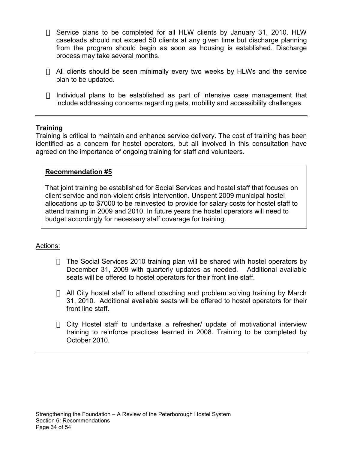Service plans to be completed for all HLW clients by January 31, 2010. HLW caseloads should not exceed 50 clients at any given time but discharge planning from the program should begin as soon as housing is established. Discharge process may take several months.

 All clients should be seen minimally every two weeks by HLWs and the service plan to be updated.

 Individual plans to be established as part of intensive case management that include addressing concerns regarding pets, mobility and accessibility challenges.

# **Training**

Training is critical to maintain and enhance service delivery. The cost of training has been identified as a concern for hostel operators, but all involved in this consultation have agreed on the importance of ongoing training for staff and volunteers.

#### Recommendation #5

That joint training be established for Social Services and hostel staff that focuses on client service and non-violent crisis intervention. Unspent 2009 municipal hostel allocations up to \$7000 to be reinvested to provide for salary costs for hostel staff to attend training in 2009 and 2010. In future years the hostel operators will need to budget accordingly for necessary staff coverage for training.

# Actions:

 The Social Services 2010 training plan will be shared with hostel operators by December 31, 2009 with quarterly updates as needed. Additional available seats will be offered to hostel operators for their front line staff.

 All City hostel staff to attend coaching and problem solving training by March 31, 2010. Additional available seats will be offered to hostel operators for their front line staff.

 City Hostel staff to undertake a refresher/ update of motivational interview training to reinforce practices learned in 2008. Training to be completed by October 2010.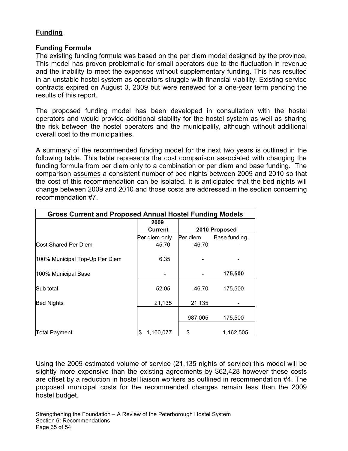# **Funding**

# Funding Formula

The existing funding formula was based on the per diem model designed by the province. This model has proven problematic for small operators due to the fluctuation in revenue and the inability to meet the expenses without supplementary funding. This has resulted in an unstable hostel system as operators struggle with financial viability. Existing service contracts expired on August 3, 2009 but were renewed for a one-year term pending the results of this report.

The proposed funding model has been developed in consultation with the hostel operators and would provide additional stability for the hostel system as well as sharing the risk between the hostel operators and the municipality, although without additional overall cost to the municipalities.

A summary of the recommended funding model for the next two years is outlined in the following table. This table represents the cost comparison associated with changing the funding formula from per diem only to a combination or per diem and base funding. The comparison assumes a consistent number of bed nights between 2009 and 2010 so that the cost of this recommendation can be isolated. It is anticipated that the bed nights will change between 2009 and 2010 and those costs are addressed in the section concerning recommendation #7.

| <b>Gross Current and Proposed Annual Hostel Funding Models</b> |                |                           |           |  |  |  |
|----------------------------------------------------------------|----------------|---------------------------|-----------|--|--|--|
|                                                                | 2009           |                           |           |  |  |  |
|                                                                | <b>Current</b> | 2010 Proposed             |           |  |  |  |
|                                                                | Per diem only  | Per diem<br>Base funding. |           |  |  |  |
| Cost Shared Per Diem                                           | 45.70          | 46.70                     |           |  |  |  |
| 100% Municipal Top-Up Per Diem                                 | 6.35           |                           |           |  |  |  |
| 100% Municipal Base                                            |                |                           | 175,500   |  |  |  |
| Sub total                                                      | 52.05          | 46.70                     | 175,500   |  |  |  |
| <b>Bed Nights</b>                                              | 21,135         | 21,135                    |           |  |  |  |
|                                                                |                | 987,005                   | 175,500   |  |  |  |
| <b>Total Payment</b>                                           | 1,100,077<br>S | \$                        | 1,162,505 |  |  |  |

Using the 2009 estimated volume of service (21,135 nights of service) this model will be slightly more expensive than the existing agreements by \$62,428 however these costs are offset by a reduction in hostel liaison workers as outlined in recommendation #4. The proposed municipal costs for the recommended changes remain less than the 2009 hostel budget.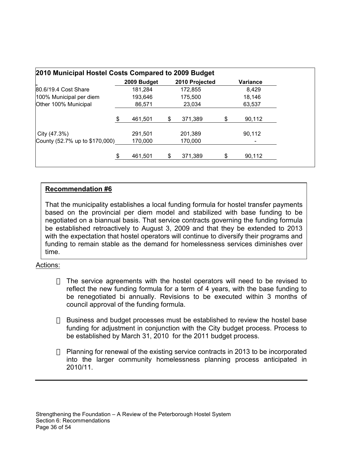|                                | 2009 Budget   | 2010 Projected | Variance |
|--------------------------------|---------------|----------------|----------|
| 80.6/19.4 Cost Share           | 181,284       | 172,855        | 8,429    |
| 100% Municipal per diem        | 193,646       | 175,500        | 18,146   |
| Other 100% Municipal           | 86,571        | 23,034         | 63,537   |
|                                | \$<br>461.501 | \$<br>371.389  | 90,112   |
| City (47.3%)                   | 291,501       | 201,389        | 90,112   |
| County (52.7% up to \$170,000) | 170,000       | 170,000        |          |
|                                | \$<br>461,501 | \$<br>371,389  | 90,112   |

# Recommendation #6

That the municipality establishes a local funding formula for hostel transfer payments based on the provincial per diem model and stabilized with base funding to be negotiated on a biannual basis. That service contracts governing the funding formula be established retroactively to August 3, 2009 and that they be extended to 2013 with the expectation that hostel operators will continue to diversify their programs and funding to remain stable as the demand for homelessness services diminishes over time.

# Actions:

 The service agreements with the hostel operators will need to be revised to reflect the new funding formula for a term of 4 years, with the base funding to be renegotiated bi annually. Revisions to be executed within 3 months of council approval of the funding formula.

 Business and budget processes must be established to review the hostel base funding for adjustment in conjunction with the City budget process. Process to be established by March 31, 2010 for the 2011 budget process.

 Planning for renewal of the existing service contracts in 2013 to be incorporated into the larger community homelessness planning process anticipated in 2010/11.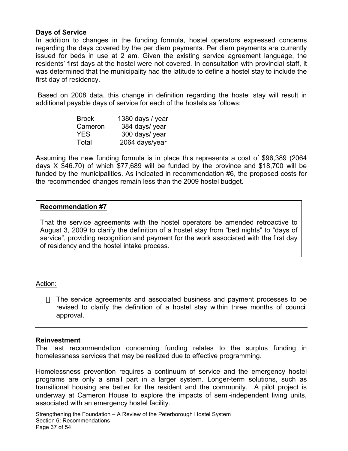#### Days of Service

In addition to changes in the funding formula, hostel operators expressed concerns regarding the days covered by the per diem payments. Per diem payments are currently issued for beds in use at 2 am. Given the existing service agreement language, the residents' first days at the hostel were not covered. In consultation with provincial staff, it was determined that the municipality had the latitude to define a hostel stay to include the first day of residency.

 Based on 2008 data, this change in definition regarding the hostel stay will result in additional payable days of service for each of the hostels as follows:

| <b>Brock</b> | 1380 days / year |
|--------------|------------------|
| Cameron      | 384 days/ year   |
| YES.         | 300 days/ year   |
| Total        | 2064 days/year   |

Assuming the new funding formula is in place this represents a cost of \$96,389 (2064 days X \$46.70) of which \$77,689 will be funded by the province and \$18,700 will be funded by the municipalities. As indicated in recommendation #6, the proposed costs for the recommended changes remain less than the 2009 hostel budget.

#### Recommendation #7

That the service agreements with the hostel operators be amended retroactive to August 3, 2009 to clarify the definition of a hostel stay from "bed nights" to "days of service", providing recognition and payment for the work associated with the first day of residency and the hostel intake process.

#### Action:

 The service agreements and associated business and payment processes to be revised to clarify the definition of a hostel stay within three months of council approval.

#### Reinvestment

The last recommendation concerning funding relates to the surplus funding in homelessness services that may be realized due to effective programming.

Homelessness prevention requires a continuum of service and the emergency hostel programs are only a small part in a larger system. Longer-term solutions, such as transitional housing are better for the resident and the community. A pilot project is underway at Cameron House to explore the impacts of semi-independent living units, associated with an emergency hostel facility.

Strengthening the Foundation – A Review of the Peterborough Hostel System Section 6: Recommendations Page 37 of 54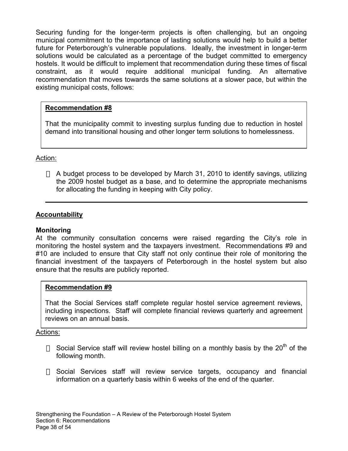<span id="page-37-0"></span>Securing funding for the longer-term projects is often challenging, but an ongoing municipal commitment to the importance of lasting solutions would help to build a better future for Peterborough's vulnerable populations. Ideally, the investment in longer-term solutions would be calculated as a percentage of the budget committed to emergency hostels. It would be difficult to implement that recommendation during these times of fiscal constraint, as it would require additional municipal funding. An alternative recommendation that moves towards the same solutions at a slower pace, but within the existing municipal costs, follows:

# Recommendation #8

That the municipality commit to investing surplus funding due to reduction in hostel demand into transitional housing and other longer term solutions to homelessness.

# Action:

 A budget process to be developed by March 31, 2010 to identify savings, utilizing the 2009 hostel budget as a base, and to determine the appropriate mechanisms for allocating the funding in keeping with City policy.

# Accountability

# Monitoring

At the community consultation concerns were raised regarding the City's role in monitoring the hostel system and the taxpayers investment. Recommendations #9 and #10 are included to ensure that City staff not only continue their role of monitoring the financial investment of the taxpayers of Peterborough in the hostel system but also ensure that the results are publicly reported.

# Recommendation #9

That the Social Services staff complete regular hostel service agreement reviews, including inspections. Staff will complete financial reviews quarterly and agreement reviews on an annual basis.

# Actions:

Social Service staff will review hostel billing on a monthly basis by the  $20<sup>th</sup>$  of the following month.

 Social Services staff will review service targets, occupancy and financial information on a quarterly basis within 6 weeks of the end of the quarter.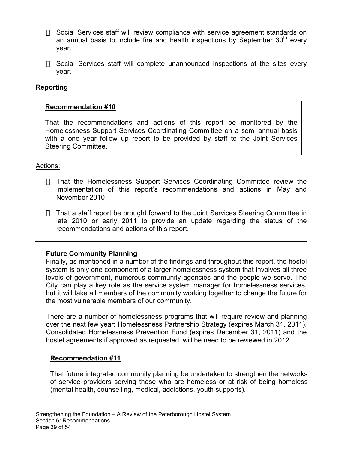<span id="page-38-0"></span> Social Services staff will review compliance with service agreement standards on an annual basis to include fire and health inspections by September  $30<sup>th</sup>$  every year.

 Social Services staff will complete unannounced inspections of the sites every year.

# Reporting

# Recommendation #10

That the recommendations and actions of this report be monitored by the Homelessness Support Services Coordinating Committee on a semi annual basis with a one year follow up report to be provided by staff to the Joint Services Steering Committee.

# Actions:

 That the Homelessness Support Services Coordinating Committee review the implementation of this report's recommendations and actions in May and November 2010

 That a staff report be brought forward to the Joint Services Steering Committee in late 2010 or early 2011 to provide an update regarding the status of the recommendations and actions of this report.

#### Future Community Planning

Finally, as mentioned in a number of the findings and throughout this report, the hostel system is only one component of a larger homelessness system that involves all three levels of government, numerous community agencies and the people we serve. The City can play a key role as the service system manager for homelessness services, but it will take all members of the community working together to change the future for the most vulnerable members of our community.

There are a number of homelessness programs that will require review and planning over the next few year: Homelessness Partnership Strategy (expires March 31, 2011), Consolidated Homelessness Prevention Fund (expires December 31, 2011) and the hostel agreements if approved as requested, will be need to be reviewed in 2012.

# Recommendation #11

That future integrated community planning be undertaken to strengthen the networks of service providers serving those who are homeless or at risk of being homeless (mental health, counselling, medical, addictions, youth supports).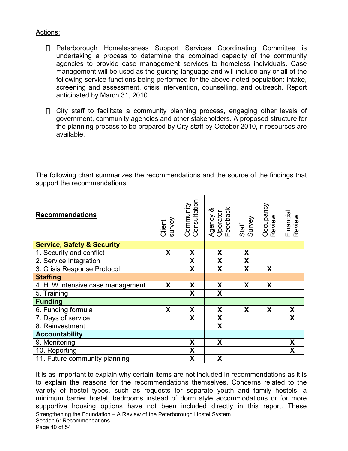# Actions:

 Peterborough Homelessness Support Services Coordinating Committee is undertaking a process to determine the combined capacity of the community agencies to provide case management services to homeless individuals. Case management will be used as the guiding language and will include any or all of the following service functions being performed for the above-noted population: intake, screening and assessment, crisis intervention, counselling, and outreach. Report anticipated by March 31, 2010.

 City staff to facilitate a community planning process, engaging other levels of government, community agencies and other stakeholders. A proposed structure for the planning process to be prepared by City staff by October 2010, if resources are available.

The following chart summarizes the recommendations and the source of the findings that support the recommendations.

| <b>Recommendations</b>                | Client<br>survey | Community<br>Consultation | Agency &<br>Operator<br>Feedback | Staff<br>Survey | Occupancy<br>Review | Financial<br>Review |
|---------------------------------------|------------------|---------------------------|----------------------------------|-----------------|---------------------|---------------------|
| <b>Service, Safety &amp; Security</b> |                  |                           |                                  |                 |                     |                     |
| 1. Security and conflict              | X                | X                         | X                                | X               |                     |                     |
| 2. Service Integration                |                  | X                         | X                                | X               |                     |                     |
| 3. Crisis Response Protocol           |                  | X                         | X                                | X               | X                   |                     |
| <b>Staffing</b>                       |                  |                           |                                  |                 |                     |                     |
| 4. HLW intensive case management      | X                | X                         | X                                | X               | X                   |                     |
| 5. Training                           |                  | X                         | X                                |                 |                     |                     |
| <b>Funding</b>                        |                  |                           |                                  |                 |                     |                     |
| 6. Funding formula                    | X                | X                         | X                                | X               | X                   | X                   |
| 7. Days of service                    |                  | X                         | $\boldsymbol{\mathsf{X}}$        |                 |                     | X.                  |
| 8. Reinvestment                       |                  |                           | X                                |                 |                     |                     |
| <b>Accountability</b>                 |                  |                           |                                  |                 |                     |                     |
| 9. Monitoring                         |                  | X                         | X                                |                 |                     | X                   |
| 10. Reporting                         |                  | X                         |                                  |                 |                     | X                   |
| 11. Future community planning         |                  | X                         | X                                |                 |                     |                     |

Strengthening the Foundation – A Review of the Peterborough Hostel System Section 6: Recommendations Page 40 of 54 It is as important to explain why certain items are not included in recommendations as it is to explain the reasons for the recommendations themselves. Concerns related to the variety of hostel types, such as requests for separate youth and family hostels, a minimum barrier hostel, bedrooms instead of dorm style accommodations or for more supportive housing options have not been included directly in this report. These